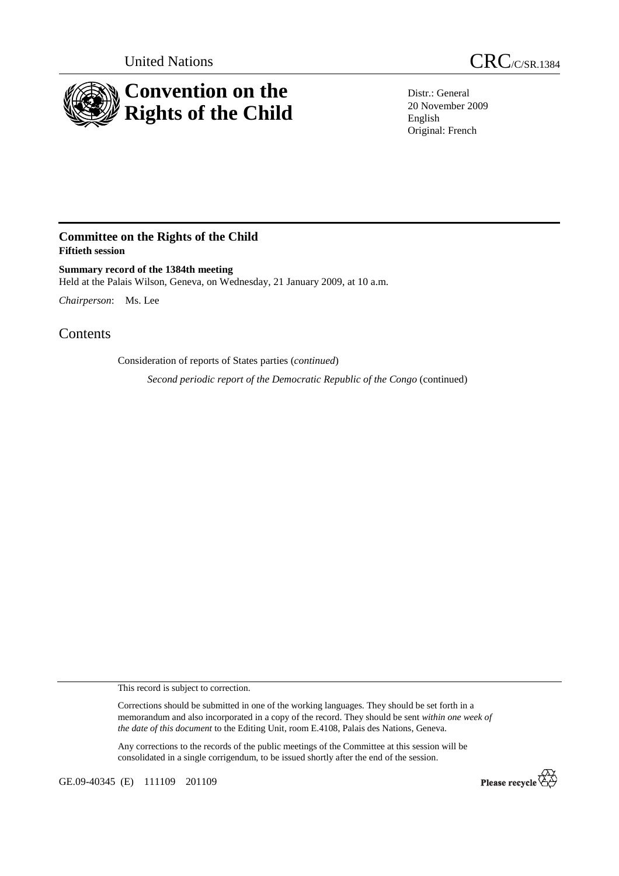

United Nations CRC/C/SR.1384

Distr.: General 20 November 2009 English Original: French

## **Committee on the Rights of the Child Fiftieth session**

**Summary record of the 1384th meeting**  Held at the Palais Wilson, Geneva, on Wednesday, 21 January 2009, at 10 a.m.

*Chairperson*: Ms. Lee

Contents

Consideration of reports of States parties (*continued*)

 *Second periodic report of the Democratic Republic of the Congo* (continued)

This record is subject to correction.

Corrections should be submitted in one of the working languages. They should be set forth in a memorandum and also incorporated in a copy of the record. They should be sent *within one week of the date of this document* to the Editing Unit, room E.4108, Palais des Nations, Geneva.

Any corrections to the records of the public meetings of the Committee at this session will be consolidated in a single corrigendum, to be issued shortly after the end of the session.

GE.09-40345 (E) 111109 201109

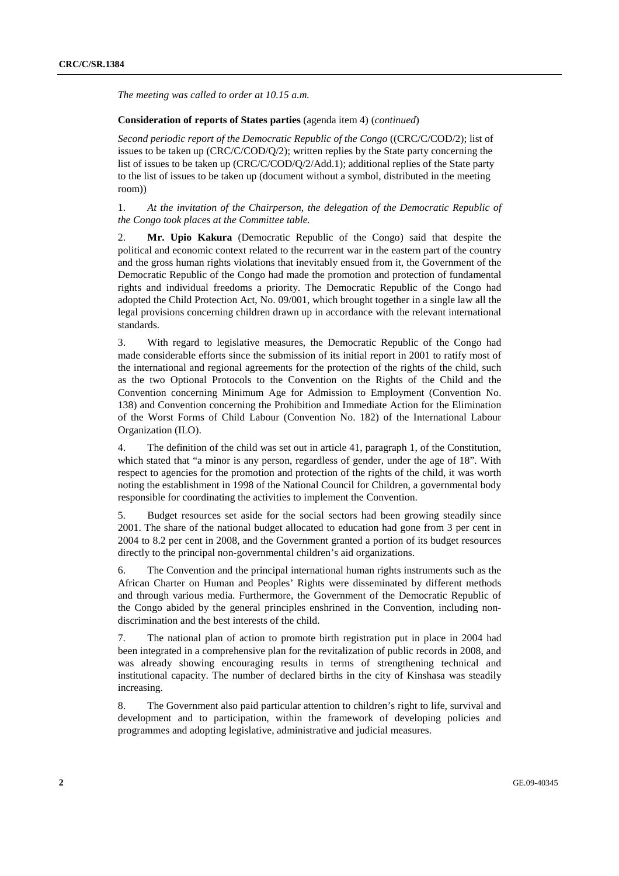*The meeting was called to order at 10.15 a.m.* 

## **Consideration of reports of States parties** (agenda item 4) (*continued*)

*Second periodic report of the Democratic Republic of the Congo* ((CRC/C/COD/2); list of issues to be taken up (CRC/C/COD/Q/2); written replies by the State party concerning the list of issues to be taken up (CRC/C/COD/Q/2/Add.1); additional replies of the State party to the list of issues to be taken up (document without a symbol, distributed in the meeting room))

1. *At the invitation of the Chairperson, the delegation of the Democratic Republic of the Congo took places at the Committee table.*

2. **Mr. Upio Kakura** (Democratic Republic of the Congo) said that despite the political and economic context related to the recurrent war in the eastern part of the country and the gross human rights violations that inevitably ensued from it, the Government of the Democratic Republic of the Congo had made the promotion and protection of fundamental rights and individual freedoms a priority. The Democratic Republic of the Congo had adopted the Child Protection Act, No. 09/001, which brought together in a single law all the legal provisions concerning children drawn up in accordance with the relevant international standards.

3. With regard to legislative measures, the Democratic Republic of the Congo had made considerable efforts since the submission of its initial report in 2001 to ratify most of the international and regional agreements for the protection of the rights of the child, such as the two Optional Protocols to the Convention on the Rights of the Child and the Convention concerning Minimum Age for Admission to Employment (Convention No. 138) and Convention concerning the Prohibition and Immediate Action for the Elimination of the Worst Forms of Child Labour (Convention No. 182) of the International Labour Organization (ILO).

4. The definition of the child was set out in article 41, paragraph 1, of the Constitution, which stated that "a minor is any person, regardless of gender, under the age of 18". With respect to agencies for the promotion and protection of the rights of the child, it was worth noting the establishment in 1998 of the National Council for Children, a governmental body responsible for coordinating the activities to implement the Convention.

5. Budget resources set aside for the social sectors had been growing steadily since 2001. The share of the national budget allocated to education had gone from 3 per cent in 2004 to 8.2 per cent in 2008, and the Government granted a portion of its budget resources directly to the principal non-governmental children's aid organizations.

6. The Convention and the principal international human rights instruments such as the African Charter on Human and Peoples' Rights were disseminated by different methods and through various media. Furthermore, the Government of the Democratic Republic of the Congo abided by the general principles enshrined in the Convention, including nondiscrimination and the best interests of the child.

7. The national plan of action to promote birth registration put in place in 2004 had been integrated in a comprehensive plan for the revitalization of public records in 2008, and was already showing encouraging results in terms of strengthening technical and institutional capacity. The number of declared births in the city of Kinshasa was steadily increasing.

8. The Government also paid particular attention to children's right to life, survival and development and to participation, within the framework of developing policies and programmes and adopting legislative, administrative and judicial measures.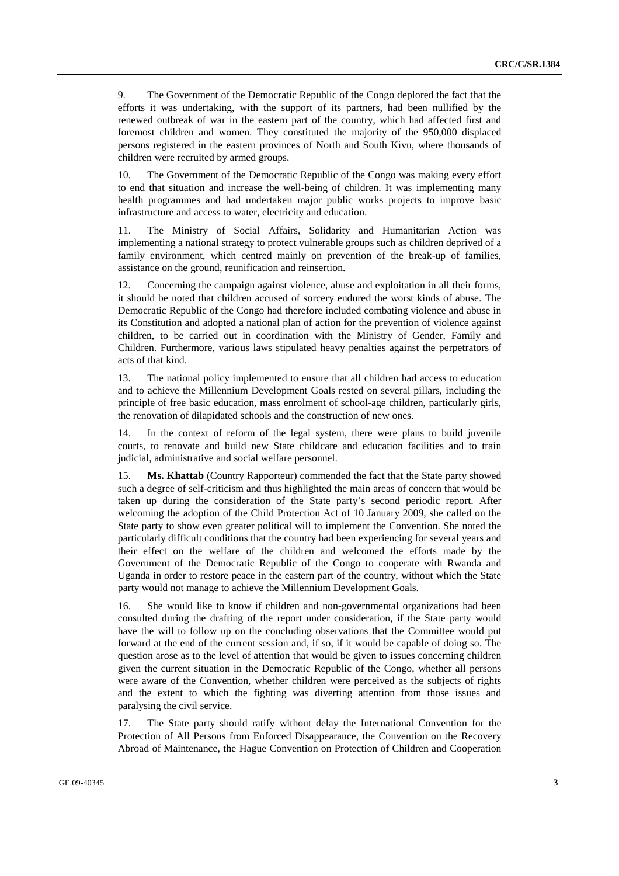9. The Government of the Democratic Republic of the Congo deplored the fact that the efforts it was undertaking, with the support of its partners, had been nullified by the renewed outbreak of war in the eastern part of the country, which had affected first and foremost children and women. They constituted the majority of the 950,000 displaced persons registered in the eastern provinces of North and South Kivu, where thousands of children were recruited by armed groups.

10. The Government of the Democratic Republic of the Congo was making every effort to end that situation and increase the well-being of children. It was implementing many health programmes and had undertaken major public works projects to improve basic infrastructure and access to water, electricity and education.

11. The Ministry of Social Affairs, Solidarity and Humanitarian Action was implementing a national strategy to protect vulnerable groups such as children deprived of a family environment, which centred mainly on prevention of the break-up of families, assistance on the ground, reunification and reinsertion.

12. Concerning the campaign against violence, abuse and exploitation in all their forms, it should be noted that children accused of sorcery endured the worst kinds of abuse. The Democratic Republic of the Congo had therefore included combating violence and abuse in its Constitution and adopted a national plan of action for the prevention of violence against children, to be carried out in coordination with the Ministry of Gender, Family and Children. Furthermore, various laws stipulated heavy penalties against the perpetrators of acts of that kind.

13. The national policy implemented to ensure that all children had access to education and to achieve the Millennium Development Goals rested on several pillars, including the principle of free basic education, mass enrolment of school-age children, particularly girls, the renovation of dilapidated schools and the construction of new ones.

14. In the context of reform of the legal system, there were plans to build juvenile courts, to renovate and build new State childcare and education facilities and to train judicial, administrative and social welfare personnel.

15. **Ms. Khattab** (Country Rapporteur) commended the fact that the State party showed such a degree of self-criticism and thus highlighted the main areas of concern that would be taken up during the consideration of the State party's second periodic report. After welcoming the adoption of the Child Protection Act of 10 January 2009, she called on the State party to show even greater political will to implement the Convention. She noted the particularly difficult conditions that the country had been experiencing for several years and their effect on the welfare of the children and welcomed the efforts made by the Government of the Democratic Republic of the Congo to cooperate with Rwanda and Uganda in order to restore peace in the eastern part of the country, without which the State party would not manage to achieve the Millennium Development Goals.

16. She would like to know if children and non-governmental organizations had been consulted during the drafting of the report under consideration, if the State party would have the will to follow up on the concluding observations that the Committee would put forward at the end of the current session and, if so, if it would be capable of doing so. The question arose as to the level of attention that would be given to issues concerning children given the current situation in the Democratic Republic of the Congo, whether all persons were aware of the Convention, whether children were perceived as the subjects of rights and the extent to which the fighting was diverting attention from those issues and paralysing the civil service.

17. The State party should ratify without delay the International Convention for the Protection of All Persons from Enforced Disappearance, the Convention on the Recovery Abroad of Maintenance, the Hague Convention on Protection of Children and Cooperation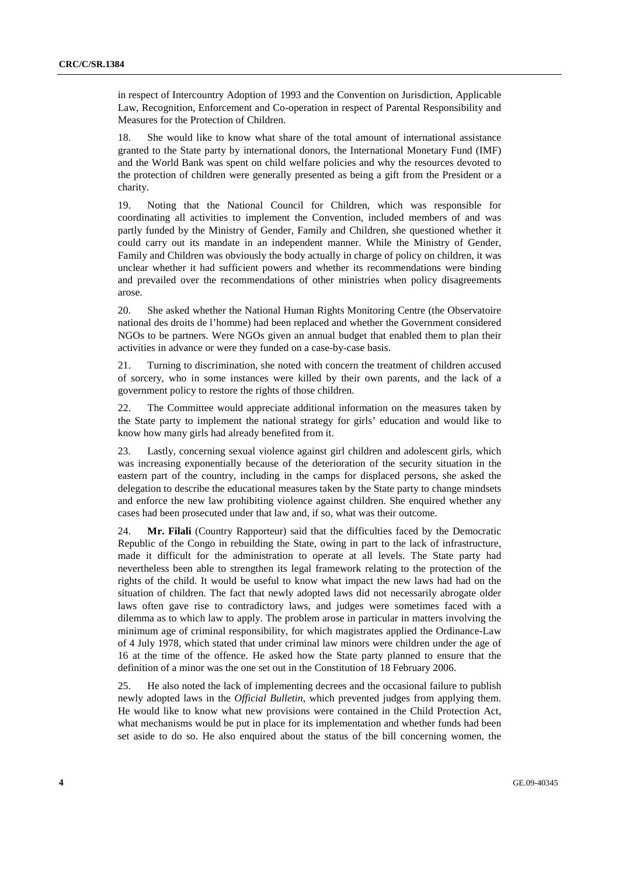in respect of Intercountry Adoption of 1993 and the Convention on Jurisdiction, Applicable Law, Recognition, Enforcement and Co-operation in respect of Parental Responsibility and Measures for the Protection of Children.

18. She would like to know what share of the total amount of international assistance granted to the State party by international donors, the International Monetary Fund (IMF) and the World Bank was spent on child welfare policies and why the resources devoted to the protection of children were generally presented as being a gift from the President or a charity.

19. Noting that the National Council for Children, which was responsible for coordinating all activities to implement the Convention, included members of and was partly funded by the Ministry of Gender, Family and Children, she questioned whether it could carry out its mandate in an independent manner. While the Ministry of Gender, Family and Children was obviously the body actually in charge of policy on children, it was unclear whether it had sufficient powers and whether its recommendations were binding and prevailed over the recommendations of other ministries when policy disagreements arose.

20. She asked whether the National Human Rights Monitoring Centre (the Observatoire national des droits de l'homme) had been replaced and whether the Government considered NGOs to be partners. Were NGOs given an annual budget that enabled them to plan their activities in advance or were they funded on a case-by-case basis.

21. Turning to discrimination, she noted with concern the treatment of children accused of sorcery, who in some instances were killed by their own parents, and the lack of a government policy to restore the rights of those children.

22. The Committee would appreciate additional information on the measures taken by the State party to implement the national strategy for girls' education and would like to know how many girls had already benefited from it.

23. Lastly, concerning sexual violence against girl children and adolescent girls, which was increasing exponentially because of the deterioration of the security situation in the eastern part of the country, including in the camps for displaced persons, she asked the delegation to describe the educational measures taken by the State party to change mindsets and enforce the new law prohibiting violence against children. She enquired whether any cases had been prosecuted under that law and, if so, what was their outcome.

24. **Mr. Filali** (Country Rapporteur) said that the difficulties faced by the Democratic Republic of the Congo in rebuilding the State, owing in part to the lack of infrastructure, made it difficult for the administration to operate at all levels. The State party had nevertheless been able to strengthen its legal framework relating to the protection of the rights of the child. It would be useful to know what impact the new laws had had on the situation of children. The fact that newly adopted laws did not necessarily abrogate older laws often gave rise to contradictory laws, and judges were sometimes faced with a dilemma as to which law to apply. The problem arose in particular in matters involving the minimum age of criminal responsibility, for which magistrates applied the Ordinance-Law of 4 July 1978, which stated that under criminal law minors were children under the age of 16 at the time of the offence. He asked how the State party planned to ensure that the definition of a minor was the one set out in the Constitution of 18 February 2006.

25. He also noted the lack of implementing decrees and the occasional failure to publish newly adopted laws in the *Official Bulletin*, which prevented judges from applying them. He would like to know what new provisions were contained in the Child Protection Act, what mechanisms would be put in place for its implementation and whether funds had been set aside to do so. He also enquired about the status of the bill concerning women, the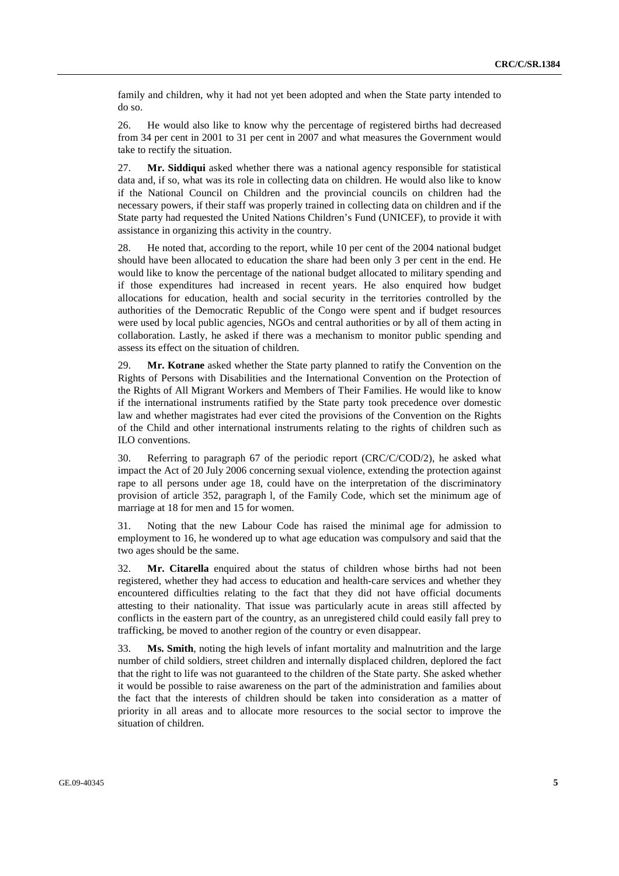family and children, why it had not yet been adopted and when the State party intended to do so.

26. He would also like to know why the percentage of registered births had decreased from 34 per cent in 2001 to 31 per cent in 2007 and what measures the Government would take to rectify the situation.

27. **Mr. Siddiqui** asked whether there was a national agency responsible for statistical data and, if so, what was its role in collecting data on children. He would also like to know if the National Council on Children and the provincial councils on children had the necessary powers, if their staff was properly trained in collecting data on children and if the State party had requested the United Nations Children's Fund (UNICEF), to provide it with assistance in organizing this activity in the country.

28. He noted that, according to the report, while 10 per cent of the 2004 national budget should have been allocated to education the share had been only 3 per cent in the end. He would like to know the percentage of the national budget allocated to military spending and if those expenditures had increased in recent years. He also enquired how budget allocations for education, health and social security in the territories controlled by the authorities of the Democratic Republic of the Congo were spent and if budget resources were used by local public agencies, NGOs and central authorities or by all of them acting in collaboration. Lastly, he asked if there was a mechanism to monitor public spending and assess its effect on the situation of children.

29. **Mr. Kotrane** asked whether the State party planned to ratify the Convention on the Rights of Persons with Disabilities and the International Convention on the Protection of the Rights of All Migrant Workers and Members of Their Families. He would like to know if the international instruments ratified by the State party took precedence over domestic law and whether magistrates had ever cited the provisions of the Convention on the Rights of the Child and other international instruments relating to the rights of children such as ILO conventions.

30. Referring to paragraph 67 of the periodic report (CRC/C/COD/2), he asked what impact the Act of 20 July 2006 concerning sexual violence, extending the protection against rape to all persons under age 18, could have on the interpretation of the discriminatory provision of article 352, paragraph l, of the Family Code, which set the minimum age of marriage at 18 for men and 15 for women.

31. Noting that the new Labour Code has raised the minimal age for admission to employment to 16, he wondered up to what age education was compulsory and said that the two ages should be the same.

32. **Mr. Citarella** enquired about the status of children whose births had not been registered, whether they had access to education and health-care services and whether they encountered difficulties relating to the fact that they did not have official documents attesting to their nationality. That issue was particularly acute in areas still affected by conflicts in the eastern part of the country, as an unregistered child could easily fall prey to trafficking, be moved to another region of the country or even disappear.

33. **Ms. Smith**, noting the high levels of infant mortality and malnutrition and the large number of child soldiers, street children and internally displaced children, deplored the fact that the right to life was not guaranteed to the children of the State party. She asked whether it would be possible to raise awareness on the part of the administration and families about the fact that the interests of children should be taken into consideration as a matter of priority in all areas and to allocate more resources to the social sector to improve the situation of children.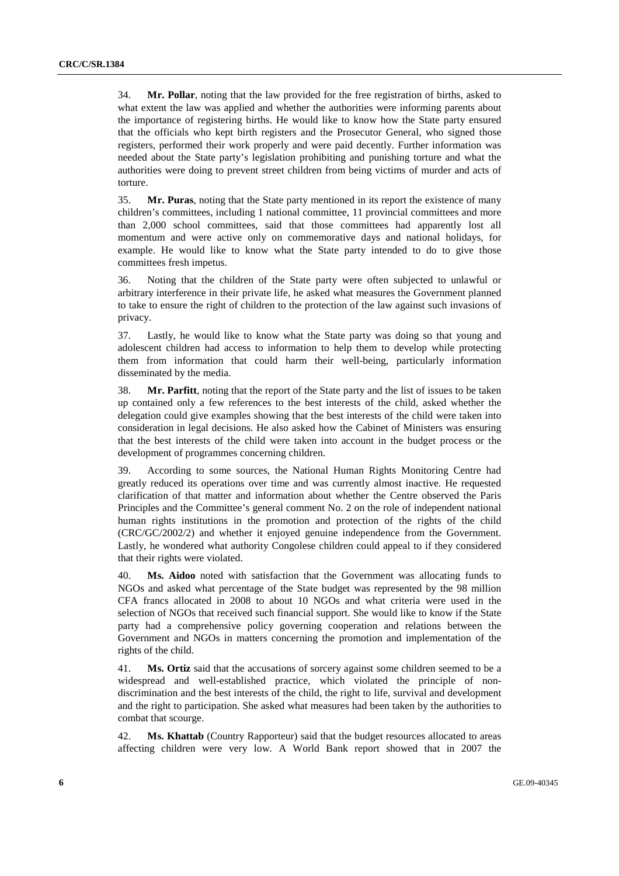34. **Mr. Pollar**, noting that the law provided for the free registration of births, asked to what extent the law was applied and whether the authorities were informing parents about the importance of registering births. He would like to know how the State party ensured that the officials who kept birth registers and the Prosecutor General, who signed those registers, performed their work properly and were paid decently. Further information was needed about the State party's legislation prohibiting and punishing torture and what the authorities were doing to prevent street children from being victims of murder and acts of torture.

35. **Mr. Puras**, noting that the State party mentioned in its report the existence of many children's committees, including 1 national committee, 11 provincial committees and more than 2,000 school committees, said that those committees had apparently lost all momentum and were active only on commemorative days and national holidays, for example. He would like to know what the State party intended to do to give those committees fresh impetus.

36. Noting that the children of the State party were often subjected to unlawful or arbitrary interference in their private life, he asked what measures the Government planned to take to ensure the right of children to the protection of the law against such invasions of privacy.

37. Lastly, he would like to know what the State party was doing so that young and adolescent children had access to information to help them to develop while protecting them from information that could harm their well-being, particularly information disseminated by the media.

38. **Mr. Parfitt**, noting that the report of the State party and the list of issues to be taken up contained only a few references to the best interests of the child, asked whether the delegation could give examples showing that the best interests of the child were taken into consideration in legal decisions. He also asked how the Cabinet of Ministers was ensuring that the best interests of the child were taken into account in the budget process or the development of programmes concerning children.

39. According to some sources, the National Human Rights Monitoring Centre had greatly reduced its operations over time and was currently almost inactive. He requested clarification of that matter and information about whether the Centre observed the Paris Principles and the Committee's general comment No. 2 on the role of independent national human rights institutions in the promotion and protection of the rights of the child (CRC/GC/2002/2) and whether it enjoyed genuine independence from the Government. Lastly, he wondered what authority Congolese children could appeal to if they considered that their rights were violated.

40. **Ms. Aidoo** noted with satisfaction that the Government was allocating funds to NGOs and asked what percentage of the State budget was represented by the 98 million CFA francs allocated in 2008 to about 10 NGOs and what criteria were used in the selection of NGOs that received such financial support. She would like to know if the State party had a comprehensive policy governing cooperation and relations between the Government and NGOs in matters concerning the promotion and implementation of the rights of the child.

41. **Ms. Ortiz** said that the accusations of sorcery against some children seemed to be a widespread and well-established practice, which violated the principle of nondiscrimination and the best interests of the child, the right to life, survival and development and the right to participation. She asked what measures had been taken by the authorities to combat that scourge.

42. **Ms. Khattab** (Country Rapporteur) said that the budget resources allocated to areas affecting children were very low. A World Bank report showed that in 2007 the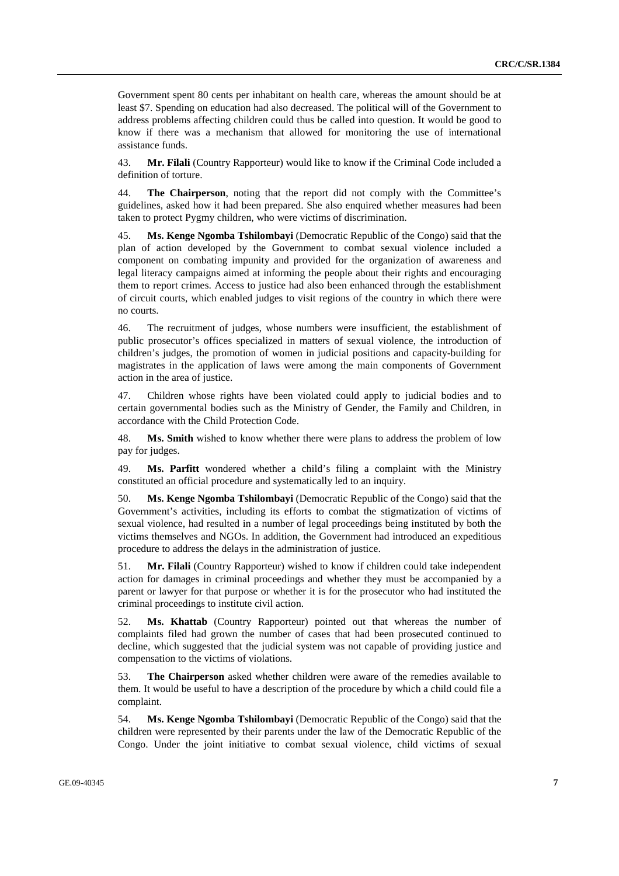Government spent 80 cents per inhabitant on health care, whereas the amount should be at least \$7. Spending on education had also decreased. The political will of the Government to address problems affecting children could thus be called into question. It would be good to know if there was a mechanism that allowed for monitoring the use of international assistance funds.

43. **Mr. Filali** (Country Rapporteur) would like to know if the Criminal Code included a definition of torture.

44. **The Chairperson**, noting that the report did not comply with the Committee's guidelines, asked how it had been prepared. She also enquired whether measures had been taken to protect Pygmy children, who were victims of discrimination.

45. **Ms. Kenge Ngomba Tshilombayi** (Democratic Republic of the Congo) said that the plan of action developed by the Government to combat sexual violence included a component on combating impunity and provided for the organization of awareness and legal literacy campaigns aimed at informing the people about their rights and encouraging them to report crimes. Access to justice had also been enhanced through the establishment of circuit courts, which enabled judges to visit regions of the country in which there were no courts.

46. The recruitment of judges, whose numbers were insufficient, the establishment of public prosecutor's offices specialized in matters of sexual violence, the introduction of children's judges, the promotion of women in judicial positions and capacity-building for magistrates in the application of laws were among the main components of Government action in the area of justice.

47. Children whose rights have been violated could apply to judicial bodies and to certain governmental bodies such as the Ministry of Gender, the Family and Children, in accordance with the Child Protection Code.

48. **Ms. Smith** wished to know whether there were plans to address the problem of low pay for judges.

49. **Ms. Parfitt** wondered whether a child's filing a complaint with the Ministry constituted an official procedure and systematically led to an inquiry.

50. **Ms. Kenge Ngomba Tshilombayi** (Democratic Republic of the Congo) said that the Government's activities, including its efforts to combat the stigmatization of victims of sexual violence, had resulted in a number of legal proceedings being instituted by both the victims themselves and NGOs. In addition, the Government had introduced an expeditious procedure to address the delays in the administration of justice.

51. **Mr. Filali** (Country Rapporteur) wished to know if children could take independent action for damages in criminal proceedings and whether they must be accompanied by a parent or lawyer for that purpose or whether it is for the prosecutor who had instituted the criminal proceedings to institute civil action.

52. **Ms. Khattab** (Country Rapporteur) pointed out that whereas the number of complaints filed had grown the number of cases that had been prosecuted continued to decline, which suggested that the judicial system was not capable of providing justice and compensation to the victims of violations.

53. **The Chairperson** asked whether children were aware of the remedies available to them. It would be useful to have a description of the procedure by which a child could file a complaint.

54. **Ms. Kenge Ngomba Tshilombayi** (Democratic Republic of the Congo) said that the children were represented by their parents under the law of the Democratic Republic of the Congo. Under the joint initiative to combat sexual violence, child victims of sexual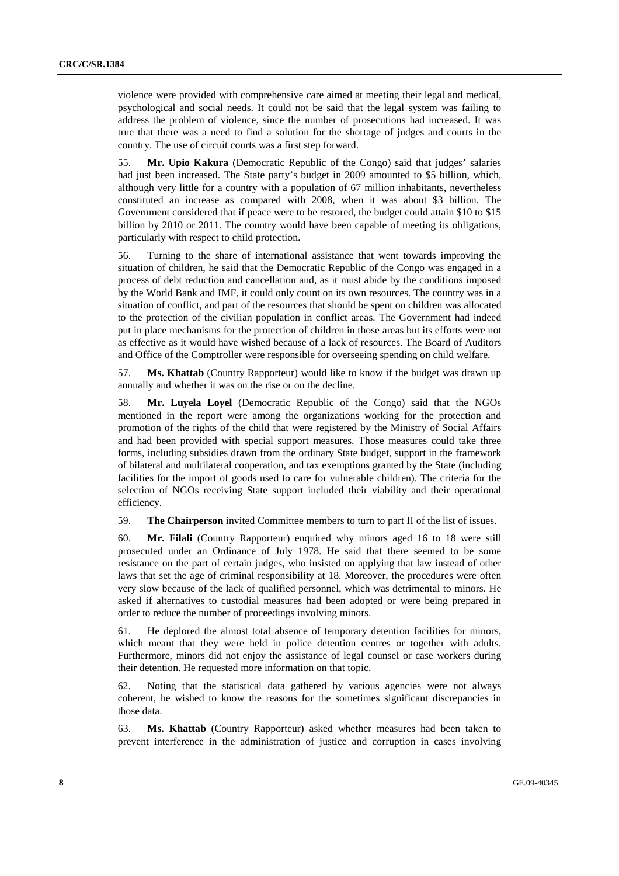violence were provided with comprehensive care aimed at meeting their legal and medical, psychological and social needs. It could not be said that the legal system was failing to address the problem of violence, since the number of prosecutions had increased. It was true that there was a need to find a solution for the shortage of judges and courts in the country. The use of circuit courts was a first step forward.

55. **Mr. Upio Kakura** (Democratic Republic of the Congo) said that judges' salaries had just been increased. The State party's budget in 2009 amounted to \$5 billion, which, although very little for a country with a population of 67 million inhabitants, nevertheless constituted an increase as compared with 2008, when it was about \$3 billion. The Government considered that if peace were to be restored, the budget could attain \$10 to \$15 billion by 2010 or 2011. The country would have been capable of meeting its obligations, particularly with respect to child protection.

56. Turning to the share of international assistance that went towards improving the situation of children, he said that the Democratic Republic of the Congo was engaged in a process of debt reduction and cancellation and, as it must abide by the conditions imposed by the World Bank and IMF, it could only count on its own resources. The country was in a situation of conflict, and part of the resources that should be spent on children was allocated to the protection of the civilian population in conflict areas. The Government had indeed put in place mechanisms for the protection of children in those areas but its efforts were not as effective as it would have wished because of a lack of resources. The Board of Auditors and Office of the Comptroller were responsible for overseeing spending on child welfare.

57. **Ms. Khattab** (Country Rapporteur) would like to know if the budget was drawn up annually and whether it was on the rise or on the decline.

58. **Mr. Luyela Loyel** (Democratic Republic of the Congo) said that the NGOs mentioned in the report were among the organizations working for the protection and promotion of the rights of the child that were registered by the Ministry of Social Affairs and had been provided with special support measures. Those measures could take three forms, including subsidies drawn from the ordinary State budget, support in the framework of bilateral and multilateral cooperation, and tax exemptions granted by the State (including facilities for the import of goods used to care for vulnerable children). The criteria for the selection of NGOs receiving State support included their viability and their operational efficiency.

59. **The Chairperson** invited Committee members to turn to part II of the list of issues.

60. **Mr. Filali** (Country Rapporteur) enquired why minors aged 16 to 18 were still prosecuted under an Ordinance of July 1978. He said that there seemed to be some resistance on the part of certain judges, who insisted on applying that law instead of other laws that set the age of criminal responsibility at 18. Moreover, the procedures were often very slow because of the lack of qualified personnel, which was detrimental to minors. He asked if alternatives to custodial measures had been adopted or were being prepared in order to reduce the number of proceedings involving minors.

61. He deplored the almost total absence of temporary detention facilities for minors, which meant that they were held in police detention centres or together with adults. Furthermore, minors did not enjoy the assistance of legal counsel or case workers during their detention. He requested more information on that topic.

62. Noting that the statistical data gathered by various agencies were not always coherent, he wished to know the reasons for the sometimes significant discrepancies in those data.

63. **Ms. Khattab** (Country Rapporteur) asked whether measures had been taken to prevent interference in the administration of justice and corruption in cases involving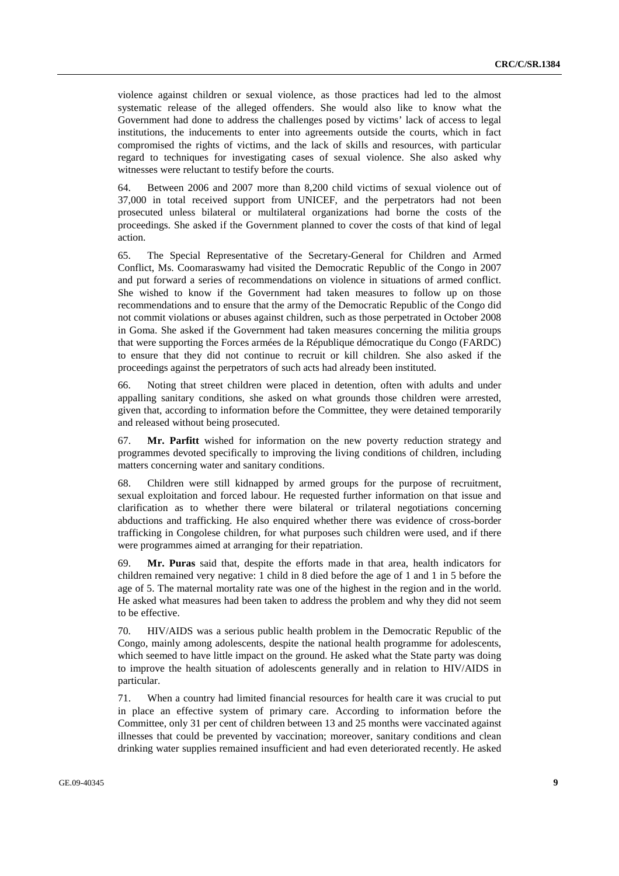violence against children or sexual violence, as those practices had led to the almost systematic release of the alleged offenders. She would also like to know what the Government had done to address the challenges posed by victims' lack of access to legal institutions, the inducements to enter into agreements outside the courts, which in fact compromised the rights of victims, and the lack of skills and resources, with particular regard to techniques for investigating cases of sexual violence. She also asked why witnesses were reluctant to testify before the courts.

64. Between 2006 and 2007 more than 8,200 child victims of sexual violence out of 37,000 in total received support from UNICEF, and the perpetrators had not been prosecuted unless bilateral or multilateral organizations had borne the costs of the proceedings. She asked if the Government planned to cover the costs of that kind of legal action.

65. The Special Representative of the Secretary-General for Children and Armed Conflict, Ms. Coomaraswamy had visited the Democratic Republic of the Congo in 2007 and put forward a series of recommendations on violence in situations of armed conflict. She wished to know if the Government had taken measures to follow up on those recommendations and to ensure that the army of the Democratic Republic of the Congo did not commit violations or abuses against children, such as those perpetrated in October 2008 in Goma. She asked if the Government had taken measures concerning the militia groups that were supporting the Forces armées de la République démocratique du Congo (FARDC) to ensure that they did not continue to recruit or kill children. She also asked if the proceedings against the perpetrators of such acts had already been instituted.

66. Noting that street children were placed in detention, often with adults and under appalling sanitary conditions, she asked on what grounds those children were arrested, given that, according to information before the Committee, they were detained temporarily and released without being prosecuted.

67. **Mr. Parfitt** wished for information on the new poverty reduction strategy and programmes devoted specifically to improving the living conditions of children, including matters concerning water and sanitary conditions.

68. Children were still kidnapped by armed groups for the purpose of recruitment, sexual exploitation and forced labour. He requested further information on that issue and clarification as to whether there were bilateral or trilateral negotiations concerning abductions and trafficking. He also enquired whether there was evidence of cross-border trafficking in Congolese children, for what purposes such children were used, and if there were programmes aimed at arranging for their repatriation.

69. **Mr. Puras** said that, despite the efforts made in that area, health indicators for children remained very negative: 1 child in 8 died before the age of 1 and 1 in 5 before the age of 5. The maternal mortality rate was one of the highest in the region and in the world. He asked what measures had been taken to address the problem and why they did not seem to be effective.

70. HIV/AIDS was a serious public health problem in the Democratic Republic of the Congo, mainly among adolescents, despite the national health programme for adolescents, which seemed to have little impact on the ground. He asked what the State party was doing to improve the health situation of adolescents generally and in relation to HIV/AIDS in particular.

71. When a country had limited financial resources for health care it was crucial to put in place an effective system of primary care. According to information before the Committee, only 31 per cent of children between 13 and 25 months were vaccinated against illnesses that could be prevented by vaccination; moreover, sanitary conditions and clean drinking water supplies remained insufficient and had even deteriorated recently. He asked